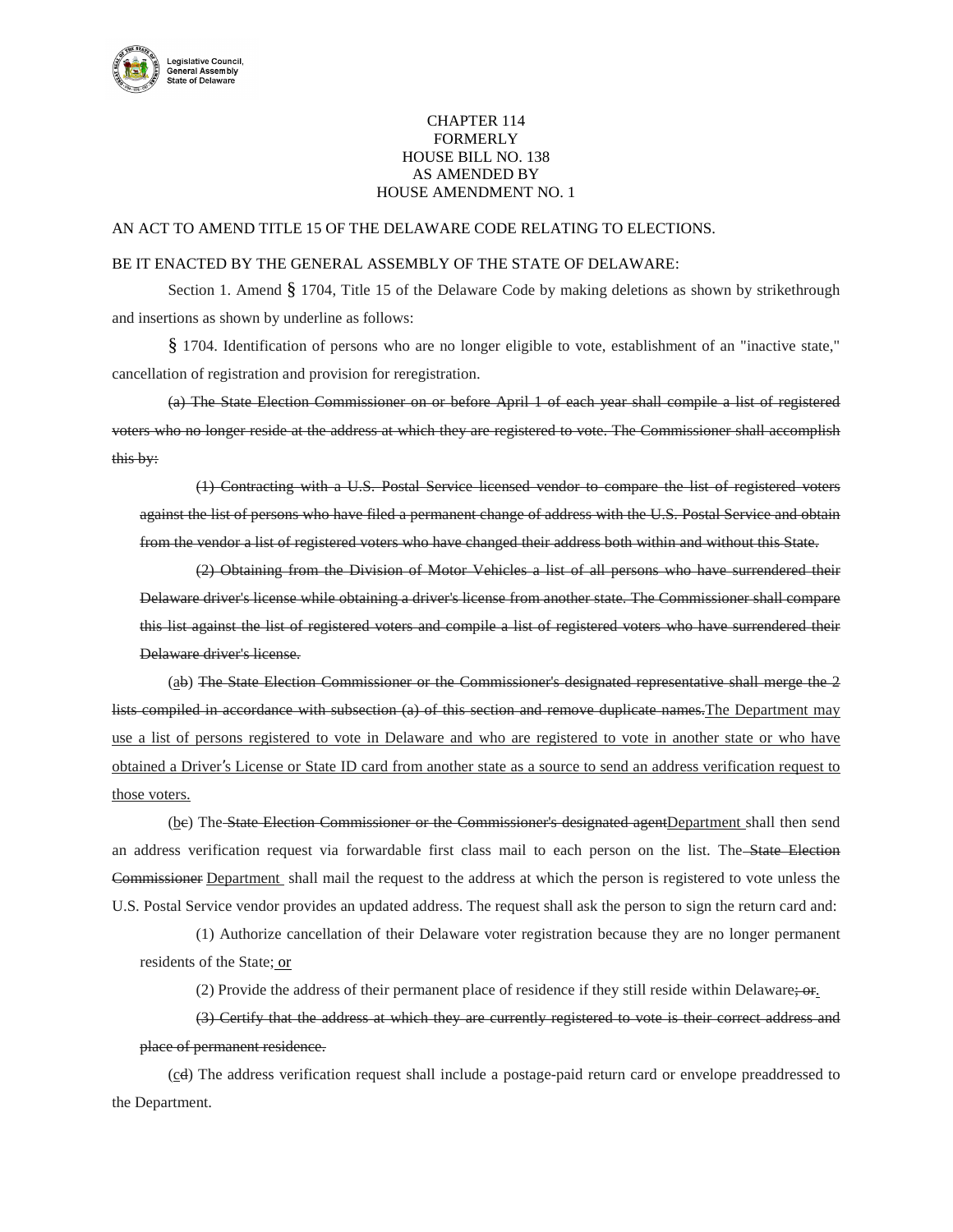

## CHAPTER 114 FORMERLY HOUSE BILL NO. 138 AS AMENDED BY HOUSE AMENDMENT NO. 1

## AN ACT TO AMEND TITLE 15 OF THE DELAWARE CODE RELATING TO ELECTIONS.

## BE IT ENACTED BY THE GENERAL ASSEMBLY OF THE STATE OF DELAWARE:

Section 1. Amend § 1704, Title 15 of the Delaware Code by making deletions as shown by strikethrough and insertions as shown by underline as follows:

§ 1704. Identification of persons who are no longer eligible to vote, establishment of an "inactive state," cancellation of registration and provision for reregistration.

(a) The State Election Commissioner on or before April 1 of each year shall compile a list of registered voters who no longer reside at the address at which they are registered to vote. The Commissioner shall accomplish this by:

(1) Contracting with a U.S. Postal Service licensed vendor to compare the list of registered voters against the list of persons who have filed a permanent change of address with the U.S. Postal Service and obtain from the vendor a list of registered voters who have changed their address both within and without this State.

(2) Obtaining from the Division of Motor Vehicles a list of all persons who have surrendered their Delaware driver's license while obtaining a driver's license from another state. The Commissioner shall compare this list against the list of registered voters and compile a list of registered voters who have surrendered their Delaware driver's license.

(ab) The State Election Commissioner or the Commissioner's designated representative shall merge the 2 lists compiled in accordance with subsection (a) of this section and remove duplicate names.The Department may use a list of persons registered to vote in Delaware and who are registered to vote in another state or who have obtained a Driver's License or State ID card from another state as a source to send an address verification request to those voters.

(be) The State Election Commissioner or the Commissioner's designated agentDepartment shall then send an address verification request via forwardable first class mail to each person on the list. The State Election Commissioner Department shall mail the request to the address at which the person is registered to vote unless the U.S. Postal Service vendor provides an updated address. The request shall ask the person to sign the return card and:

(1) Authorize cancellation of their Delaware voter registration because they are no longer permanent residents of the State; or

(2) Provide the address of their permanent place of residence if they still reside within Delaware; or.

(3) Certify that the address at which they are currently registered to vote is their correct address and place of permanent residence.

(cd) The address verification request shall include a postage-paid return card or envelope preaddressed to the Department.